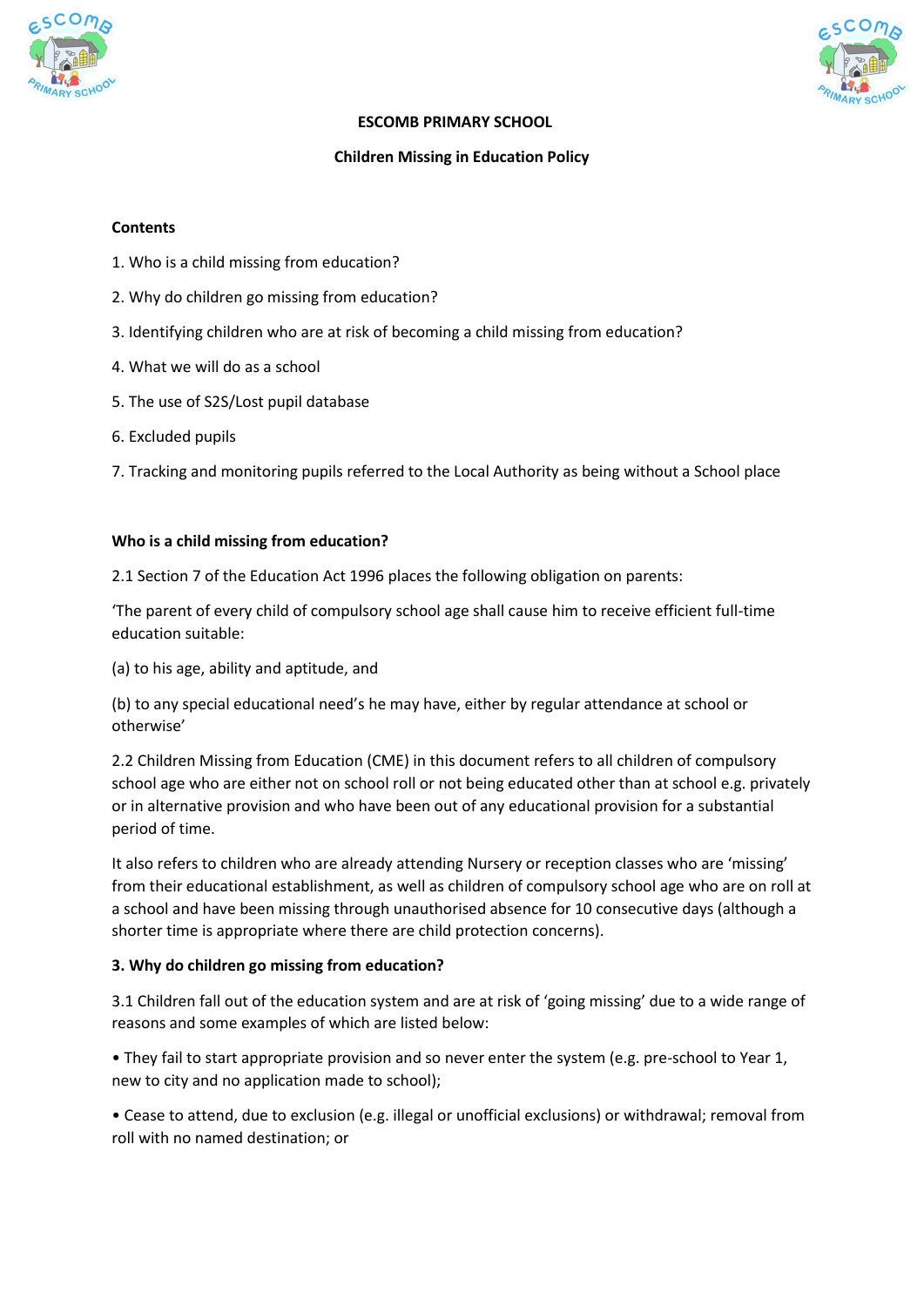



#### **ESCOMB PRIMARY SCHOOL**

#### **Children Missing in Education Policy**

#### **Contents**

- 1. Who is a child missing from education?
- 2. Why do children go missing from education?
- 3. Identifying children who are at risk of becoming a child missing from education?
- 4. What we will do as a school
- 5. The use of S2S/Lost pupil database
- 6. Excluded pupils

7. Tracking and monitoring pupils referred to the Local Authority as being without a School place

#### **Who is a child missing from education?**

2.1 Section 7 of the Education Act 1996 places the following obligation on parents:

'The parent of every child of compulsory school age shall cause him to receive efficient full-time education suitable:

(a) to his age, ability and aptitude, and

(b) to any special educational need's he may have, either by regular attendance at school or otherwise'

2.2 Children Missing from Education (CME) in this document refers to all children of compulsory school age who are either not on school roll or not being educated other than at school e.g. privately or in alternative provision and who have been out of any educational provision for a substantial period of time.

It also refers to children who are already attending Nursery or reception classes who are 'missing' from their educational establishment, as well as children of compulsory school age who are on roll at a school and have been missing through unauthorised absence for 10 consecutive days (although a shorter time is appropriate where there are child protection concerns).

# **3. Why do children go missing from education?**

3.1 Children fall out of the education system and are at risk of 'going missing' due to a wide range of reasons and some examples of which are listed below:

• They fail to start appropriate provision and so never enter the system (e.g. pre-school to Year 1, new to city and no application made to school);

• Cease to attend, due to exclusion (e.g. illegal or unofficial exclusions) or withdrawal; removal from roll with no named destination; or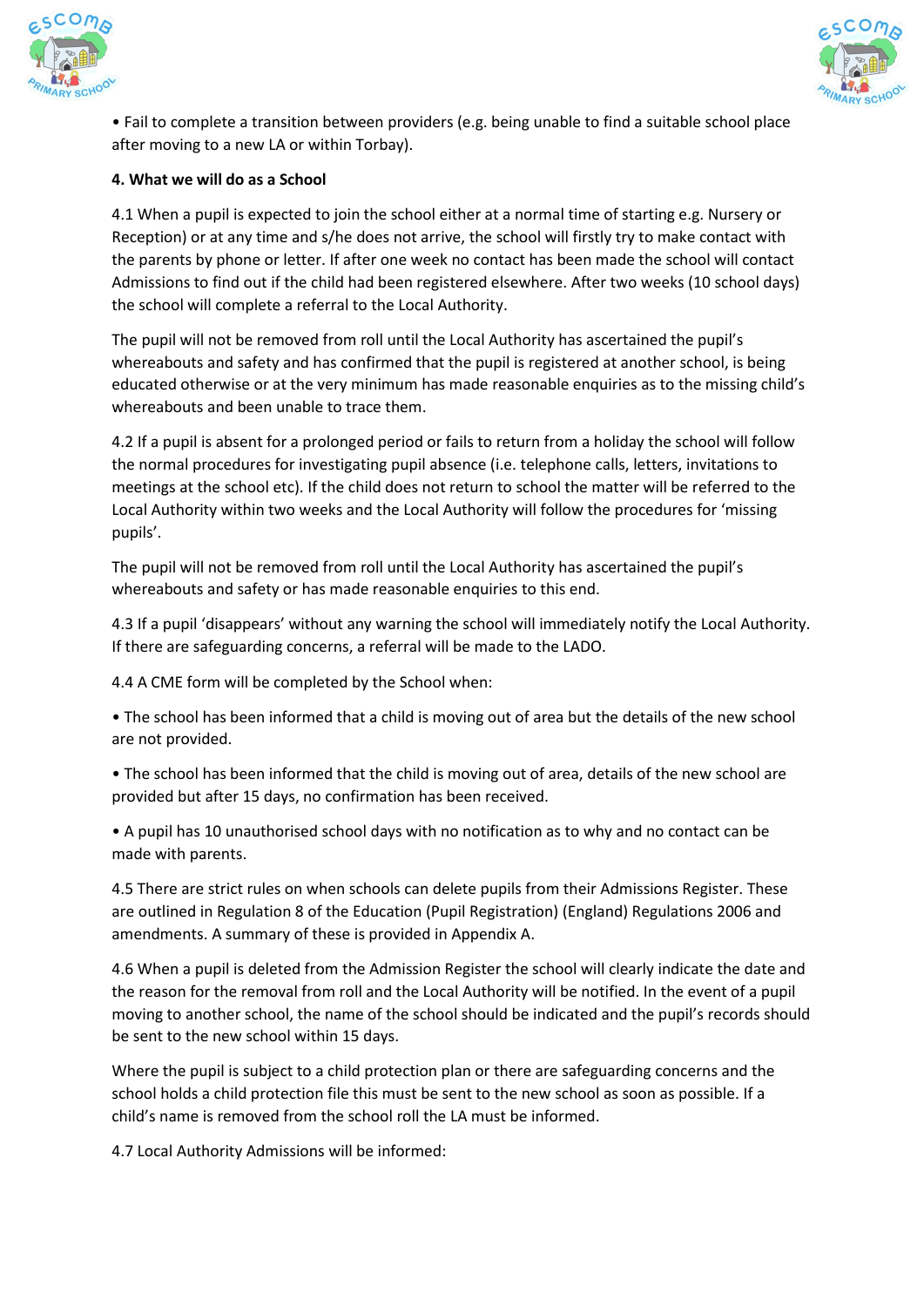



• Fail to complete a transition between providers (e.g. being unable to find a suitable school place after moving to a new LA or within Torbay).

## **4. What we will do as a School**

4.1 When a pupil is expected to join the school either at a normal time of starting e.g. Nursery or Reception) or at any time and s/he does not arrive, the school will firstly try to make contact with the parents by phone or letter. If after one week no contact has been made the school will contact Admissions to find out if the child had been registered elsewhere. After two weeks (10 school days) the school will complete a referral to the Local Authority.

The pupil will not be removed from roll until the Local Authority has ascertained the pupil's whereabouts and safety and has confirmed that the pupil is registered at another school, is being educated otherwise or at the very minimum has made reasonable enquiries as to the missing child's whereabouts and been unable to trace them.

4.2 If a pupil is absent for a prolonged period or fails to return from a holiday the school will follow the normal procedures for investigating pupil absence (i.e. telephone calls, letters, invitations to meetings at the school etc). If the child does not return to school the matter will be referred to the Local Authority within two weeks and the Local Authority will follow the procedures for 'missing pupils'.

The pupil will not be removed from roll until the Local Authority has ascertained the pupil's whereabouts and safety or has made reasonable enquiries to this end.

4.3 If a pupil 'disappears' without any warning the school will immediately notify the Local Authority. If there are safeguarding concerns, a referral will be made to the LADO.

4.4 A CME form will be completed by the School when:

• The school has been informed that a child is moving out of area but the details of the new school are not provided.

• The school has been informed that the child is moving out of area, details of the new school are provided but after 15 days, no confirmation has been received.

• A pupil has 10 unauthorised school days with no notification as to why and no contact can be made with parents.

4.5 There are strict rules on when schools can delete pupils from their Admissions Register. These are outlined in Regulation 8 of the Education (Pupil Registration) (England) Regulations 2006 and amendments. A summary of these is provided in Appendix A.

4.6 When a pupil is deleted from the Admission Register the school will clearly indicate the date and the reason for the removal from roll and the Local Authority will be notified. In the event of a pupil moving to another school, the name of the school should be indicated and the pupil's records should be sent to the new school within 15 days.

Where the pupil is subject to a child protection plan or there are safeguarding concerns and the school holds a child protection file this must be sent to the new school as soon as possible. If a child's name is removed from the school roll the LA must be informed.

4.7 Local Authority Admissions will be informed: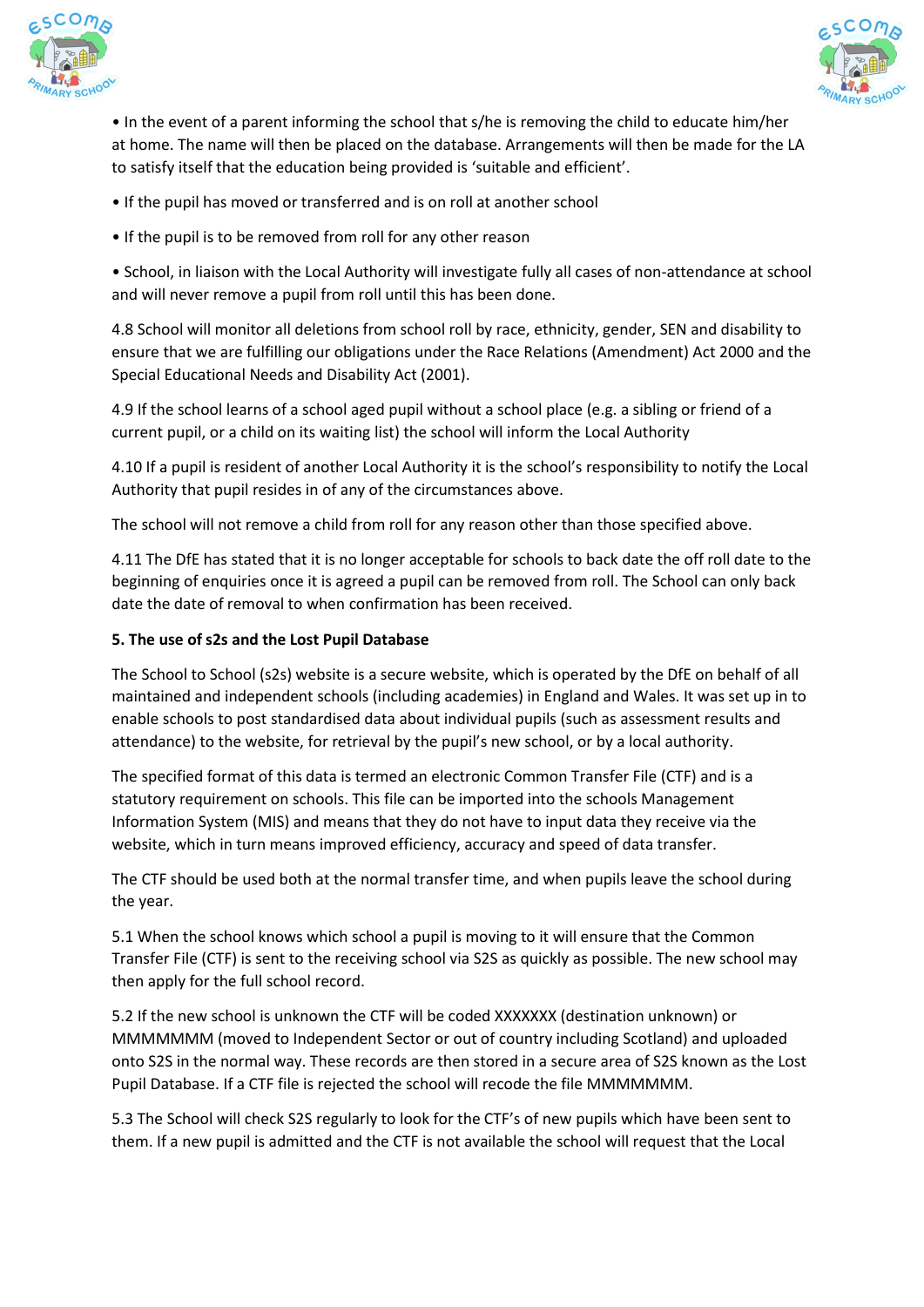



• In the event of a parent informing the school that s/he is removing the child to educate him/her at home. The name will then be placed on the database. Arrangements will then be made for the LA to satisfy itself that the education being provided is 'suitable and efficient'.

- If the pupil has moved or transferred and is on roll at another school
- If the pupil is to be removed from roll for any other reason

• School, in liaison with the Local Authority will investigate fully all cases of non-attendance at school and will never remove a pupil from roll until this has been done.

4.8 School will monitor all deletions from school roll by race, ethnicity, gender, SEN and disability to ensure that we are fulfilling our obligations under the Race Relations (Amendment) Act 2000 and the Special Educational Needs and Disability Act (2001).

4.9 If the school learns of a school aged pupil without a school place (e.g. a sibling or friend of a current pupil, or a child on its waiting list) the school will inform the Local Authority

4.10 If a pupil is resident of another Local Authority it is the school's responsibility to notify the Local Authority that pupil resides in of any of the circumstances above.

The school will not remove a child from roll for any reason other than those specified above.

4.11 The DfE has stated that it is no longer acceptable for schools to back date the off roll date to the beginning of enquiries once it is agreed a pupil can be removed from roll. The School can only back date the date of removal to when confirmation has been received.

## **5. The use of s2s and the Lost Pupil Database**

The School to School (s2s) website is a secure website, which is operated by the DfE on behalf of all maintained and independent schools (including academies) in England and Wales. It was set up in to enable schools to post standardised data about individual pupils (such as assessment results and attendance) to the website, for retrieval by the pupil's new school, or by a local authority.

The specified format of this data is termed an electronic Common Transfer File (CTF) and is a statutory requirement on schools. This file can be imported into the schools Management Information System (MIS) and means that they do not have to input data they receive via the website, which in turn means improved efficiency, accuracy and speed of data transfer.

The CTF should be used both at the normal transfer time, and when pupils leave the school during the year.

5.1 When the school knows which school a pupil is moving to it will ensure that the Common Transfer File (CTF) is sent to the receiving school via S2S as quickly as possible. The new school may then apply for the full school record.

5.2 If the new school is unknown the CTF will be coded XXXXXXX (destination unknown) or MMMMMMM (moved to Independent Sector or out of country including Scotland) and uploaded onto S2S in the normal way. These records are then stored in a secure area of S2S known as the Lost Pupil Database. If a CTF file is rejected the school will recode the file MMMMMMM.

5.3 The School will check S2S regularly to look for the CTF's of new pupils which have been sent to them. If a new pupil is admitted and the CTF is not available the school will request that the Local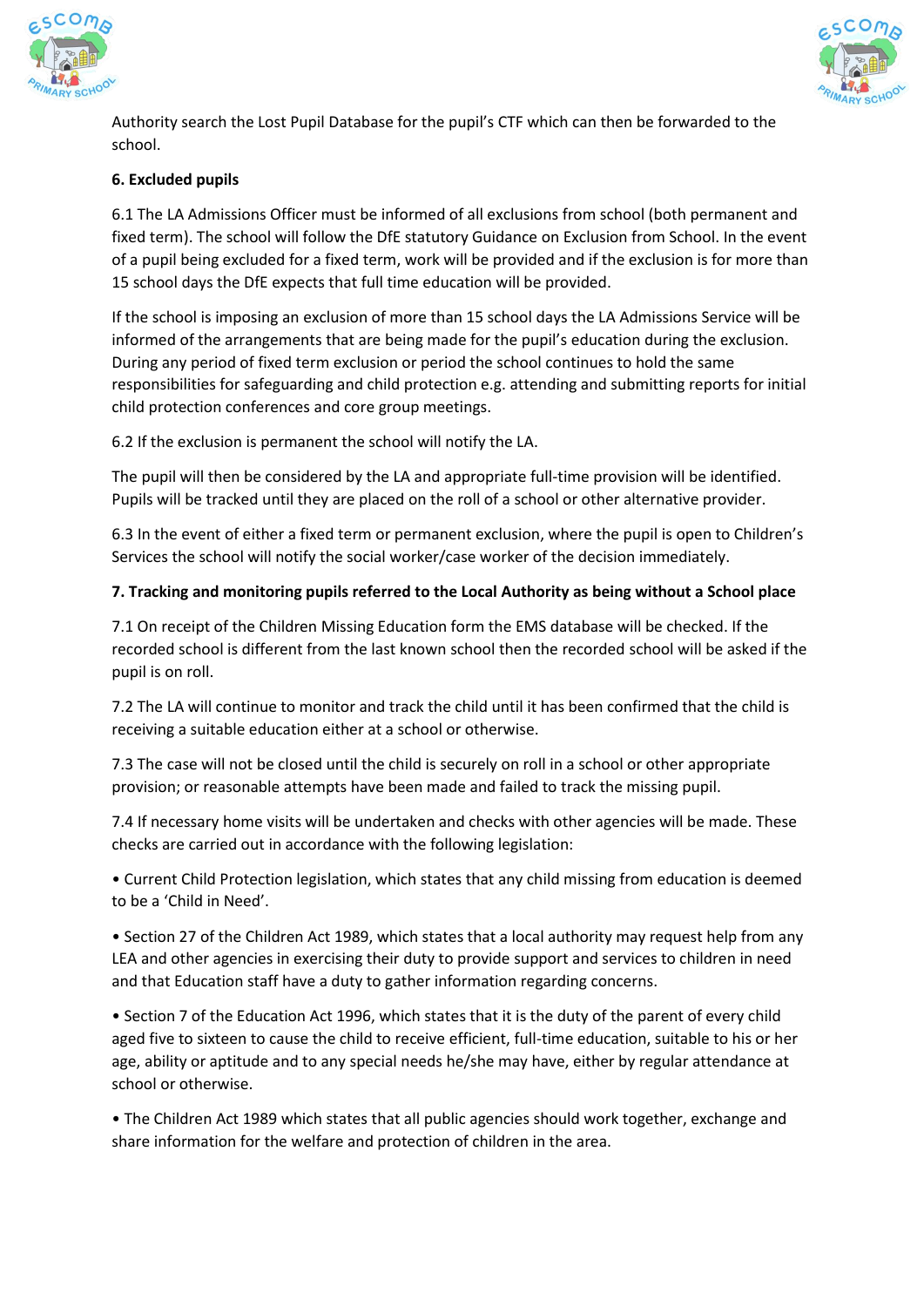



Authority search the Lost Pupil Database for the pupil's CTF which can then be forwarded to the school.

# **6. Excluded pupils**

6.1 The LA Admissions Officer must be informed of all exclusions from school (both permanent and fixed term). The school will follow the DfE statutory Guidance on Exclusion from School. In the event of a pupil being excluded for a fixed term, work will be provided and if the exclusion is for more than 15 school days the DfE expects that full time education will be provided.

If the school is imposing an exclusion of more than 15 school days the LA Admissions Service will be informed of the arrangements that are being made for the pupil's education during the exclusion. During any period of fixed term exclusion or period the school continues to hold the same responsibilities for safeguarding and child protection e.g. attending and submitting reports for initial child protection conferences and core group meetings.

6.2 If the exclusion is permanent the school will notify the LA.

The pupil will then be considered by the LA and appropriate full-time provision will be identified. Pupils will be tracked until they are placed on the roll of a school or other alternative provider.

6.3 In the event of either a fixed term or permanent exclusion, where the pupil is open to Children's Services the school will notify the social worker/case worker of the decision immediately.

## **7. Tracking and monitoring pupils referred to the Local Authority as being without a School place**

7.1 On receipt of the Children Missing Education form the EMS database will be checked. If the recorded school is different from the last known school then the recorded school will be asked if the pupil is on roll.

7.2 The LA will continue to monitor and track the child until it has been confirmed that the child is receiving a suitable education either at a school or otherwise.

7.3 The case will not be closed until the child is securely on roll in a school or other appropriate provision; or reasonable attempts have been made and failed to track the missing pupil.

7.4 If necessary home visits will be undertaken and checks with other agencies will be made. These checks are carried out in accordance with the following legislation:

• Current Child Protection legislation, which states that any child missing from education is deemed to be a 'Child in Need'.

• Section 27 of the Children Act 1989, which states that a local authority may request help from any LEA and other agencies in exercising their duty to provide support and services to children in need and that Education staff have a duty to gather information regarding concerns.

• Section 7 of the Education Act 1996, which states that it is the duty of the parent of every child aged five to sixteen to cause the child to receive efficient, full-time education, suitable to his or her age, ability or aptitude and to any special needs he/she may have, either by regular attendance at school or otherwise.

• The Children Act 1989 which states that all public agencies should work together, exchange and share information for the welfare and protection of children in the area.